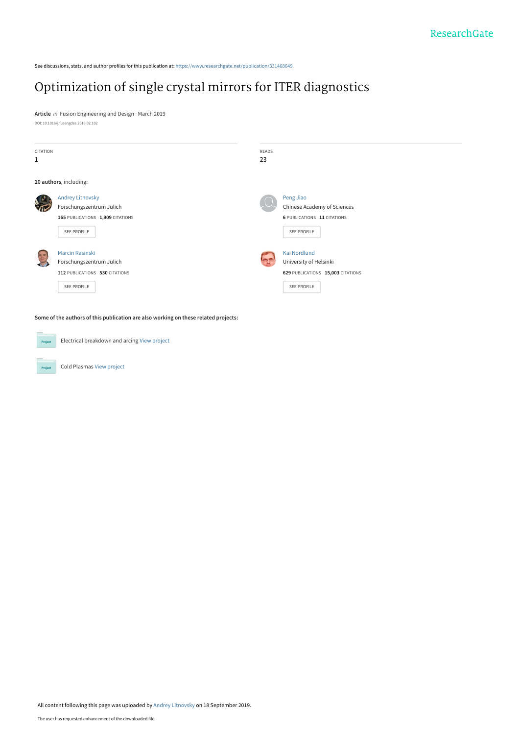See discussions, stats, and author profiles for this publication at: [https://www.researchgate.net/publication/331468649](https://www.researchgate.net/publication/331468649_Optimization_of_single_crystal_mirrors_for_ITER_diagnostics?enrichId=rgreq-7d565db18c19c43000a35aceae18454d-XXX&enrichSource=Y292ZXJQYWdlOzMzMTQ2ODY0OTtBUzo4MDQ0MjUzNTg2NDMyMDBAMTU2ODgwMTM1OTA0NA%3D%3D&el=1_x_2&_esc=publicationCoverPdf)

# [Optimization of single crystal mirrors for ITER diagnostics](https://www.researchgate.net/publication/331468649_Optimization_of_single_crystal_mirrors_for_ITER_diagnostics?enrichId=rgreq-7d565db18c19c43000a35aceae18454d-XXX&enrichSource=Y292ZXJQYWdlOzMzMTQ2ODY0OTtBUzo4MDQ0MjUzNTg2NDMyMDBAMTU2ODgwMTM1OTA0NA%3D%3D&el=1_x_3&_esc=publicationCoverPdf)

**Article** in Fusion Engineering and Design · March 2019 DOI: 10.1016/j.fusengdes.2019.02.102

| CITATION     |                                  | READS |                                    |
|--------------|----------------------------------|-------|------------------------------------|
| 1            |                                  | 23    |                                    |
|              |                                  |       |                                    |
|              | 10 authors, including:           |       |                                    |
|              | <b>Andrey Litnovsky</b>          |       | Peng Jiao                          |
| $\sqrt{\pi}$ | Forschungszentrum Jülich         |       | Chinese Academy of Sciences        |
|              | 165 PUBLICATIONS 1,909 CITATIONS |       | <b>6 PUBLICATIONS 11 CITATIONS</b> |
|              | SEE PROFILE                      |       | SEE PROFILE                        |
| 25           | <b>Marcin Rasinski</b>           |       | <b>Kai Nordlund</b>                |
|              | Forschungszentrum Jülich         |       | University of Helsinki             |
|              | 112 PUBLICATIONS 530 CITATIONS   |       | 629 PUBLICATIONS 15,003 CITATIONS  |
|              | SEE PROFILE                      |       | SEE PROFILE                        |
|              |                                  |       |                                    |
|              |                                  |       |                                    |

**Some of the authors of this publication are also working on these related projects:**

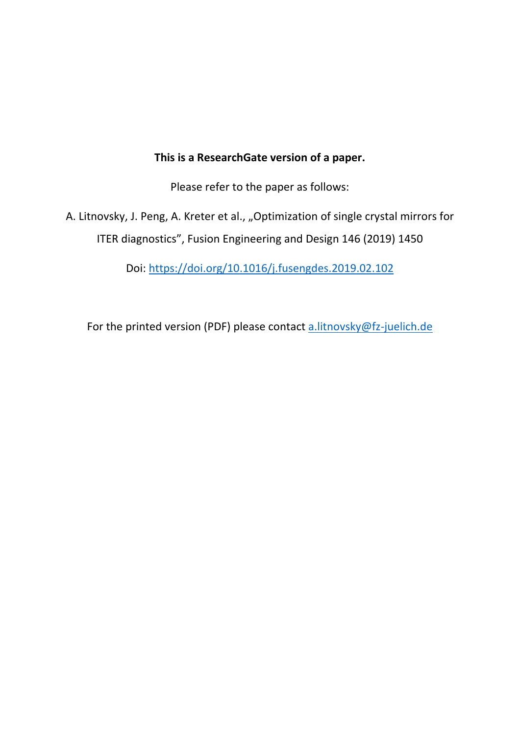# **This is a ResearchGate version of a paper.**

Please refer to the paper as follows:

A. Litnovsky, J. Peng, A. Kreter et al., "Optimization of single crystal mirrors for ITER diagnostics", Fusion Engineering and Design 146 (2019) 1450

Doi: https://doi.org/10.1016/j.fusengdes.2019.02.102

For the printed version (PDF) please contact a.litnovsky@fz-juelich.de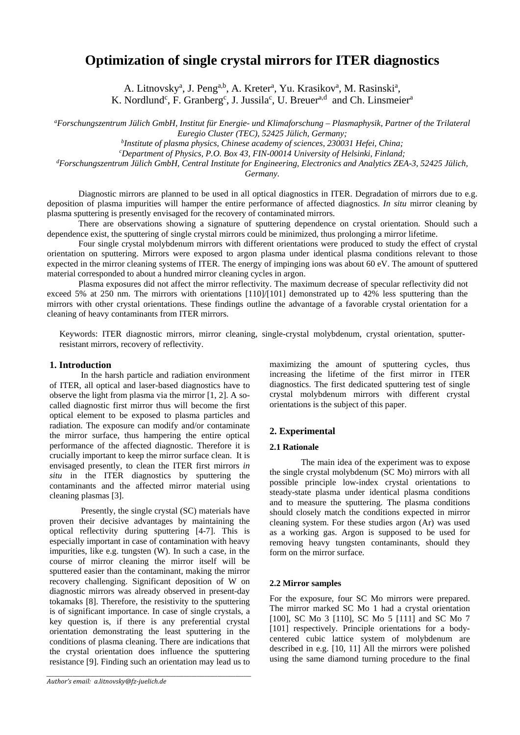# **Optimization of single crystal mirrors for ITER diagnostics**

A. Litnovsky<sup>a</sup>, J. Peng<sup>a,b</sup>, A. Kreter<sup>a</sup>, Yu. Krasikov<sup>a</sup>, M. Rasinski<sup>a</sup>, K. Nordlund<sup>c</sup>, F. Granberg<sup>c</sup>, J. Jussila<sup>c</sup>, U. Breuer<sup>a,d</sup> and Ch. Linsmeier<sup>a</sup>

*a Forschungszentrum Jülich GmbH, Institut für Energie- und Klimaforschung – Plasmaphysik, Partner of the Trilateral Euregio Cluster (TEC), 52425 Jülich, Germany; b*

*Institute of plasma physics, Chinese academy of sciences, 230031 Hefei, China;* 

*c Department of Physics, P.O. Box 43, FIN-00014 University of Helsinki, Finland;* 

*d Forschungszentrum Jülich GmbH, Central Institute for Engineering, Electronics and Analytics ZEA-3, 52425 Jülich,* 

*Germany.* 

Diagnostic mirrors are planned to be used in all optical diagnostics in ITER. Degradation of mirrors due to e.g. deposition of plasma impurities will hamper the entire performance of affected diagnostics. *In situ* mirror cleaning by plasma sputtering is presently envisaged for the recovery of contaminated mirrors.

There are observations showing a signature of sputtering dependence on crystal orientation. Should such a dependence exist, the sputtering of single crystal mirrors could be minimized, thus prolonging a mirror lifetime.

Four single crystal molybdenum mirrors with different orientations were produced to study the effect of crystal orientation on sputtering. Mirrors were exposed to argon plasma under identical plasma conditions relevant to those expected in the mirror cleaning systems of ITER. The energy of impinging ions was about 60 eV. The amount of sputtered material corresponded to about a hundred mirror cleaning cycles in argon.

 Plasma exposures did not affect the mirror reflectivity. The maximum decrease of specular reflectivity did not exceed 5% at 250 nm. The mirrors with orientations [110]/[101] demonstrated up to 42% less sputtering than the mirrors with other crystal orientations. These findings outline the advantage of a favorable crystal orientation for a cleaning of heavy contaminants from ITER mirrors.

Keywords: ITER diagnostic mirrors, mirror cleaning, single-crystal molybdenum, crystal orientation, sputterresistant mirrors, recovery of reflectivity.

# **1. Introduction**

In the harsh particle and radiation environment of ITER, all optical and laser-based diagnostics have to observe the light from plasma via the mirror [1, 2]. A socalled diagnostic first mirror thus will become the first optical element to be exposed to plasma particles and radiation. The exposure can modify and/or contaminate the mirror surface, thus hampering the entire optical performance of the affected diagnostic. Therefore it is crucially important to keep the mirror surface clean. It is envisaged presently, to clean the ITER first mirrors *in situ* in the ITER diagnostics by sputtering the contaminants and the affected mirror material using cleaning plasmas [3].

Presently, the single crystal (SC) materials have proven their decisive advantages by maintaining the optical reflectivity during sputtering [4-7]. This is especially important in case of contamination with heavy impurities, like e.g. tungsten (W). In such a case, in the course of mirror cleaning the mirror itself will be sputtered easier than the contaminant, making the mirror recovery challenging. Significant deposition of W on diagnostic mirrors was already observed in present-day tokamaks [8]. Therefore, the resistivity to the sputtering is of significant importance. In case of single crystals, a key question is, if there is any preferential crystal orientation demonstrating the least sputtering in the conditions of plasma cleaning. There are indications that the crystal orientation does influence the sputtering resistance [9]. Finding such an orientation may lead us to

*\_\_\_\_\_\_\_\_\_\_\_\_\_\_\_\_\_\_\_\_\_\_\_\_\_\_\_\_\_\_\_\_\_\_\_\_\_\_\_\_\_\_\_\_\_\_\_\_\_\_\_\_\_\_\_\_\_\_\_\_\_\_\_\_\_\_\_\_\_\_\_\_\_\_\_\_\_\_\_*

maximizing the amount of sputtering cycles, thus increasing the lifetime of the first mirror in ITER diagnostics. The first dedicated sputtering test of single crystal molybdenum mirrors with different crystal orientations is the subject of this paper.

# **2. Experimental**

### **2.1 Rationale**

The main idea of the experiment was to expose the single crystal molybdenum (SC Mo) mirrors with all possible principle low-index crystal orientations to steady-state plasma under identical plasma conditions and to measure the sputtering. The plasma conditions should closely match the conditions expected in mirror cleaning system. For these studies argon (Ar) was used as a working gas. Argon is supposed to be used for removing heavy tungsten contaminants, should they form on the mirror surface.

# **2.2 Mirror samples**

For the exposure, four SC Mo mirrors were prepared. The mirror marked SC Mo 1 had a crystal orientation [100], SC Mo 3 [110], SC Mo 5 [111] and SC Mo 7 [101] respectively. Principle orientations for a bodycentered cubic lattice system of molybdenum are described in e.g. [10, 11] All the mirrors were polished using the same diamond turning procedure to the final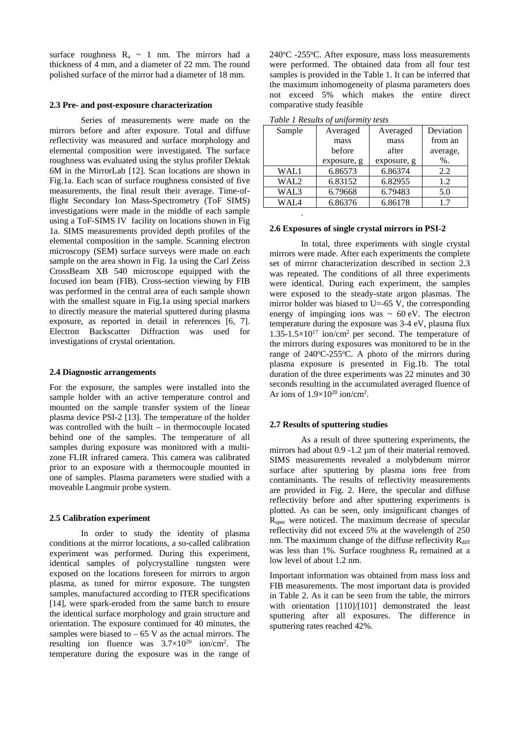surface roughness  $R_a \sim 1$  nm. The mirrors had a thickness of 4 mm, and a diameter of 22 mm. The round polished surface of the mirror had a diameter of 18 mm.

#### **2.3 Pre- and post-exposure characterization**

Series of measurements were made on the mirrors before and after exposure. Total and diffuse reflectivity was measured and surface morphology and elemental composition were investigated. The surface roughness was evaluated using the stylus profiler Dektak 6M in the MirrorLab [12]. Scan locations are shown in Fig.1a. Each scan of surface roughness consisted of five measurements, the final result their average. Time-offlight Secondary Ion Mass-Spectrometry (ToF SIMS) investigations were made in the middle of each sample using a ToF-SIMS IV facility on locations shown in Fig 1a. SIMS measurements provided depth profiles of the elemental composition in the sample. Scanning electron microscopy (SEM) surface surveys were made on each sample on the area shown in Fig. 1a using the Carl Zeiss CrossBeam XB 540 microscope equipped with the focused ion beam (FIB). Cross-section viewing by FIB was performed in the central area of each sample shown with the smallest square in Fig.1a using special markers to directly measure the material sputtered during plasma exposure, as reported in detail in references [6, 7]. Electron Backscatter Diffraction was used for investigations of crystal orientation.

### **2.4 Diagnostic arrangements**

For the exposure, the samples were installed into the sample holder with an active temperature control and mounted on the sample transfer system of the linear plasma device PSI-2 [13]. The temperature of the holder was controlled with the built – in thermocouple located behind one of the samples. The temperature of all samples during exposure was monitored with a multizone FLIR infrared camera. This camera was calibrated prior to an exposure with a thermocouple mounted in one of samples. Plasma parameters were studied with a moveable Langmuir probe system.

#### **2.5 Calibration experiment**

In order to study the identity of plasma conditions at the mirror locations, a so-called calibration experiment was performed. During this experiment, identical samples of polycrystalline tungsten were exposed on the locations foreseen for mirrors to argon plasma, as tuned for mirror exposure. The tungsten samples, manufactured according to ITER specifications [14], were spark-eroded from the same batch to ensure the identical surface morphology and grain structure and orientation. The exposure continued for 40 minutes, the samples were biased to  $-65$  V as the actual mirrors. The resulting ion fluence was  $3.7 \times 10^{20}$  ion/cm<sup>2</sup>. The temperature during the exposure was in the range of

240°C -255°C. After exposure, mass loss measurements were performed. The obtained data from all four test samples is provided in the Table 1. It can be inferred that the maximum inhomogeneity of plasma parameters does not exceed 5% which makes the entire direct comparative study feasible

| Sample | Averaged    | Averaged    | Deviation |  |
|--------|-------------|-------------|-----------|--|
|        | mass        | mass        | from an   |  |
|        | before      | after       | average,  |  |
|        | exposure, g | exposure, g | $%$ .     |  |
| WAL1   | 6.86573     | 6.86374     | 2.2       |  |
| WAL2   | 6.83152     | 6.82955     | 1.2       |  |
| WAL3   | 6.79668     | 6.79483     | 5.0       |  |
| WAL4   | 6.86376     | 6.86178     | 1.7       |  |

*Table 1 Results of uniformity tests* 

.

#### **2.6 Exposures of single crystal mirrors in PSI-2**

In total, three experiments with single crystal mirrors were made. After each experiments the complete set of mirror characterization described in section 2.3 was repeated. The conditions of all three experiments were identical. During each experiment, the samples were exposed to the steady-state argon plasmas. The mirror holder was biased to U=-65 V, the corresponding energy of impinging ions was  $\sim 60 \text{ eV}$ . The electron temperature during the exposure was 3-4 eV, plasma flux  $1.35$ -1.5×10<sup>17</sup> ion/cm<sup>2</sup> per second. The temperature of the mirrors during exposures was monitored to be in the range of  $240^{\circ}$ C-255 $^{\circ}$ C. A photo of the mirrors during plasma exposure is presented in Fig.1b. The total duration of the three experiments was 22 minutes and 30 seconds resulting in the accumulated averaged fluence of Ar ions of  $1.9 \times 10^{20}$  ion/cm<sup>2</sup>.

# **2.7 Results of sputtering studies**

As a result of three sputtering experiments, the mirrors had about 0.9 -1.2 µm of their material removed. SIMS measurements revealed a molybdenum mirror surface after sputtering by plasma ions free from contaminants. The results of reflectivity measurements are provided in Fig. 2. Here, the specular and diffuse reflectivity before and after sputtering experiments is plotted. As can be seen, only insignificant changes of R<sub>spec</sub> were noticed. The maximum decrease of specular reflectivity did not exceed 5% at the wavelength of 250 nm. The maximum change of the diffuse reflectivity  $R_{\text{diff}}$ was less than 1%. Surface roughness  $R_a$  remained at a low level of about 1.2 nm.

Important information was obtained from mass loss and FIB measurements. The most important data is provided in Table 2. As it can be seen from the table, the mirrors with orientation [110]/[101] demonstrated the least sputtering after all exposures. The difference in sputtering rates reached 42%.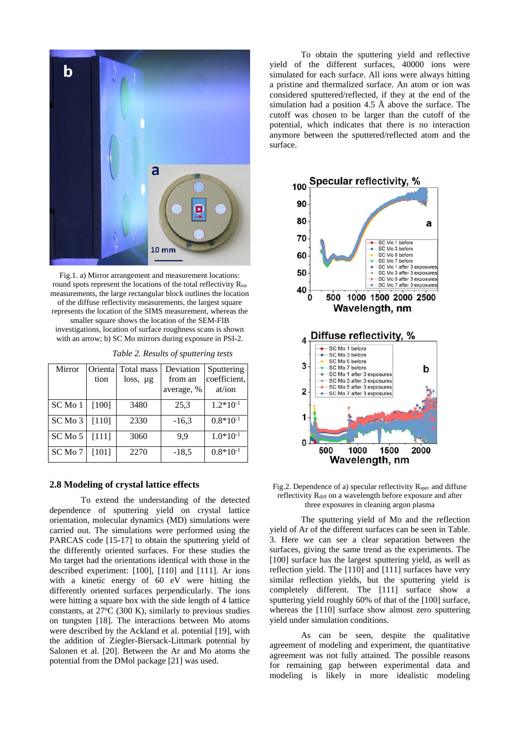

Fig.1. a) Mirror arrangement and measurement locations: round spots represent the locations of the total reflectivity R<sub>tot</sub> measurements, the large rectangular block outlines the location of the diffuse reflectivity measurements, the largest square represents the location of the SIMS measurement, whereas the smaller square shows the location of the SEM-FIB investigations, location of surface roughness scans is shown with an arrow; b) SC Mo mirrors during exposure in PSI-2.

*Table 2. Results of sputtering tests* 

| Mirror  | Orienta | Total mass    | Deviation  | Sputtering    |
|---------|---------|---------------|------------|---------------|
|         | tion    | $loss, \mu g$ | from an    | coefficient,  |
|         |         |               | average, % | at/ion        |
| SC Mo 1 | $[100]$ | 3480          | 25,3       | $1.2*10^{-1}$ |
| SC Mo 3 | [110]   | 2330          | $-16.3$    | $0.8*10^{-1}$ |
| SC Mo 5 | [111]   | 3060          | 9.9        | $1.0*10^{-1}$ |
| SC Mo 7 | [101]   | 2270          | $-18,5$    | $0.8*10^{-1}$ |

### **2.8 Modeling of crystal lattice effects**

To extend the understanding of the detected dependence of sputtering yield on crystal lattice orientation, molecular dynamics (MD) simulations were carried out. The simulations were performed using the PARCAS code [15-17] to obtain the sputtering yield of the differently oriented surfaces. For these studies the Mo target had the orientations identical with those in the described experiment: [100], [110] and [111]. Ar ions with a kinetic energy of 60 eV were hitting the differently oriented surfaces perpendicularly. The ions were hitting a square box with the side length of 4 lattice constants, at 27°C (300 K), similarly to previous studies on tungsten [18]. The interactions between Mo atoms were described by the Ackland et al. potential [19], with the addition of Ziegler-Biersack-Littmark potential by Salonen et al. [20]. Between the Ar and Mo atoms the potential from the DMol package [21] was used.

To obtain the sputtering yield and reflective yield of the different surfaces, 40000 ions were simulated for each surface. All ions were always hitting a pristine and thermalized surface. An atom or ion was considered sputtered/reflected, if they at the end of the simulation had a position 4.5 Å above the surface. The cutoff was chosen to be larger than the cutoff of the potential, which indicates that there is no interaction anymore between the sputtered/reflected atom and the surface.



Fig.2. Dependence of a) specular reflectivity R<sub>spec</sub> and diffuse reflectivity R<sub>diff</sub> on a wavelength before exposure and after three exposures in cleaning argon plasma

The sputtering yield of Mo and the reflection yield of Ar of the different surfaces can be seen in Table. 3. Here we can see a clear separation between the surfaces, giving the same trend as the experiments. The [100] surface has the largest sputtering yield, as well as reflection yield. The [110] and [111] surfaces have very similar reflection yields, but the sputtering yield is completely different. The [111] surface show a sputtering yield roughly 60% of that of the [100] surface, whereas the [110] surface show almost zero sputtering yield under simulation conditions.

As can be seen, despite the qualitative agreement of modeling and experiment, the quantitative agreement was not fully attained. The possible reasons for remaining gap between experimental data and modeling is likely in more idealistic modeling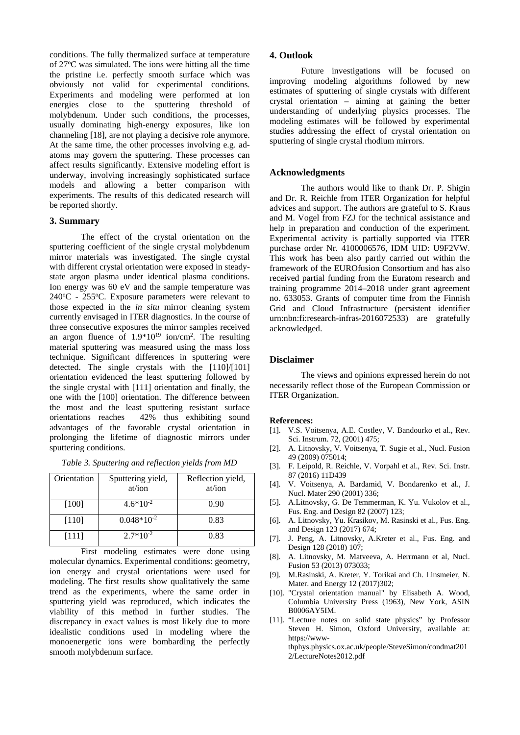conditions. The fully thermalized surface at temperature of 27°C was simulated. The ions were hitting all the time the pristine i.e. perfectly smooth surface which was obviously not valid for experimental conditions. Experiments and modeling were performed at ion energies close to the sputtering threshold of molybdenum. Under such conditions, the processes, usually dominating high-energy exposures, like ion channeling [18], are not playing a decisive role anymore. At the same time, the other processes involving e.g. adatoms may govern the sputtering. These processes can affect results significantly. Extensive modeling effort is underway, involving increasingly sophisticated surface models and allowing a better comparison with experiments. The results of this dedicated research will be reported shortly.

# **3. Summary**

The effect of the crystal orientation on the sputtering coefficient of the single crystal molybdenum mirror materials was investigated. The single crystal with different crystal orientation were exposed in steadystate argon plasma under identical plasma conditions. Ion energy was 60 eV and the sample temperature was 240 °C - 255 °C. Exposure parameters were relevant to those expected in the *in situ* mirror cleaning system currently envisaged in ITER diagnostics. In the course of three consecutive exposures the mirror samples received an argon fluence of  $1.9*10^{19}$  ion/cm<sup>2</sup>. The resulting material sputtering was measured using the mass loss technique. Significant differences in sputtering were detected. The single crystals with the [110]/[101] orientation evidenced the least sputtering followed by the single crystal with [111] orientation and finally, the one with the [100] orientation. The difference between the most and the least sputtering resistant surface orientations reaches 42% thus exhibiting sound advantages of the favorable crystal orientation in prolonging the lifetime of diagnostic mirrors under sputtering conditions.

|  | Table 3. Sputtering and reflection yields from MD |
|--|---------------------------------------------------|
|  |                                                   |

| Orientation | Sputtering yield,<br>at/ion | Reflection yield,<br>at/ion |
|-------------|-----------------------------|-----------------------------|
| $[100]$     | $4.6*10^{-2}$               | 0.90                        |
| $[110]$     | $0.048*10^{-2}$             | 0.83                        |
| [111]       | $2.7*10^{-2}$               | 0.83                        |

First modeling estimates were done using molecular dynamics. Experimental conditions: geometry, ion energy and crystal orientations were used for modeling. The first results show qualitatively the same trend as the experiments, where the same order in sputtering yield was reproduced, which indicates the viability of this method in further studies. The discrepancy in exact values is most likely due to more idealistic conditions used in modeling where the monoenergetic ions were bombarding the perfectly smooth molybdenum surface.

# **4. Outlook**

Future investigations will be focused on improving modeling algorithms followed by new estimates of sputtering of single crystals with different crystal orientation – aiming at gaining the better understanding of underlying physics processes. The modeling estimates will be followed by experimental studies addressing the effect of crystal orientation on sputtering of single crystal rhodium mirrors.

# **Acknowledgments**

The authors would like to thank Dr. P. Shigin and Dr. R. Reichle from ITER Organization for helpful advices and support. The authors are grateful to S. Kraus and M. Vogel from FZJ for the technical assistance and help in preparation and conduction of the experiment. Experimental activity is partially supported via ITER purchase order Nr. 4100006576, IDM UID: U9F2VW. This work has been also partly carried out within the framework of the EUROfusion Consortium and has also received partial funding from the Euratom research and training programme 2014–2018 under grant agreement no. 633053. Grants of computer time from the Finnish Grid and Cloud Infrastructure (persistent identifier urn:nbn:fi:research-infras-2016072533) are gratefully acknowledged.

# **Disclaimer**

The views and opinions expressed herein do not necessarily reflect those of the European Commission or ITER Organization.

#### **References:**

- [1]. V.S. Voitsenya, A.E. Costley, V. Bandourko et al., Rev. Sci. Instrum. 72, (2001) 475;
- [2]. A. Litnovsky, V. Voitsenya, T. Sugie et al., Nucl. Fusion 49 (2009) 075014;
- [3]. F. Leipold, R. Reichle, V. Vorpahl et al., Rev. Sci. Instr. 87 (2016) 11D439
- [4]. V. Voitsenya, A. Bardamid, V. Bondarenko et al., J. Nucl. Mater 290 (2001) 336;
- [5]. A.Litnovsky, G. De Temmerman, K. Yu. Vukolov et al., Fus. Eng. and Design 82 (2007) 123;
- [6]. A. Litnovsky, Yu. Krasikov, M. Rasinski et al., Fus. Eng. and Design 123 (2017) 674;
- [7]. J. Peng, A. Litnovsky, A.Kreter et al., Fus. Eng. and Design 128 (2018) 107;
- [8]. A. Litnovsky, M. Matveeva, A. Herrmann et al, Nucl. Fusion 53 (2013) 073033;
- [9]. M.Rasinski, A. Kreter, Y. Torikai and Ch. Linsmeier, N. Mater. and Energy 12 (2017)302;
- [10]. "Crystal orientation manual" by Elisabeth A. Wood, Columbia University Press (1963), New York, ASIN B0006AY5IM.
- [11]. "Lecture notes on solid state physics" by Professor Steven H. Simon, Oxford University, available at: https://wwwthphys.physics.ox.ac.uk/people/SteveSimon/condmat201 2/LectureNotes2012.pdf